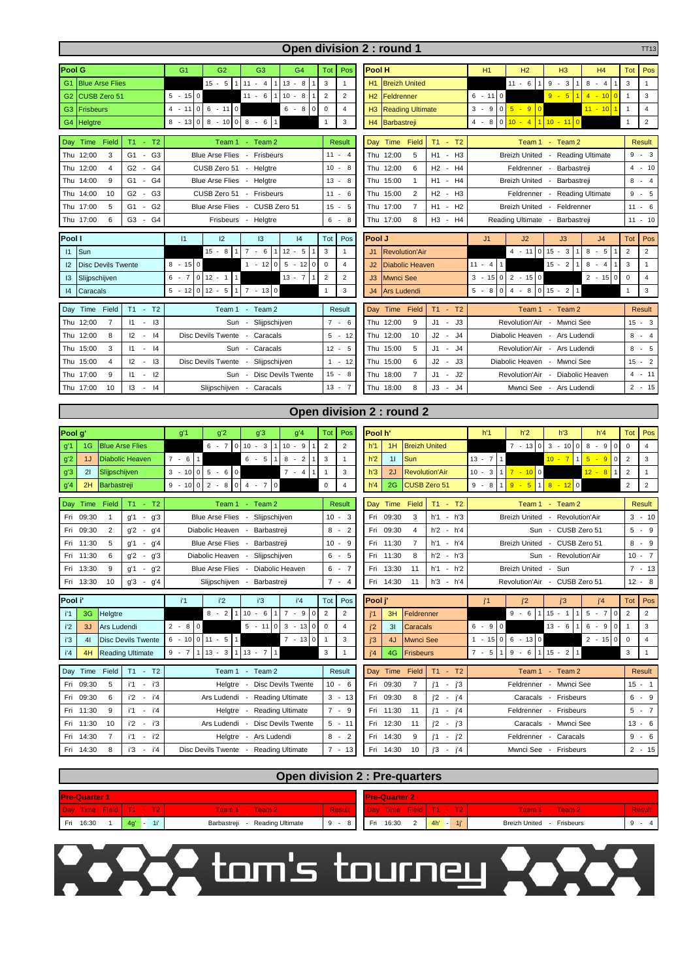| Open division 2 : round 1<br>TT13                                                 |                                                                                         |                                                |                                                                                                                                                               |                                    |  |  |  |  |  |  |  |  |  |
|-----------------------------------------------------------------------------------|-----------------------------------------------------------------------------------------|------------------------------------------------|---------------------------------------------------------------------------------------------------------------------------------------------------------------|------------------------------------|--|--|--|--|--|--|--|--|--|
| Pool G                                                                            | G1<br>G <sub>2</sub><br>G <sub>3</sub><br>G <sub>4</sub>                                | Tot<br>Pos                                     | Pool H<br>H1<br>H <sub>2</sub><br>H3<br>H <sub>4</sub>                                                                                                        | Pos<br>Tot                         |  |  |  |  |  |  |  |  |  |
| <b>Blue Arse Flies</b><br>G <sub>1</sub>                                          | $15 - 5$<br>$11 - 4$<br>$13 - 8$<br>1<br>$\overline{1}$<br>$\mathbf{1}$                 | 3<br>$\mathbf{1}$                              | <b>Breizh United</b><br>$11 - 6$<br>$9 - 3$<br>$8 - 4$<br>3<br>H1<br>$\overline{1}$<br>1                                                                      | $\mathbf{1}$                       |  |  |  |  |  |  |  |  |  |
| CUSB Zero 51<br>G <sub>2</sub>                                                    | $5 - 15$<br>$\mathsf 0$<br>$11 - 6$<br>$10 - 8$<br>$\overline{1}$<br>$\mathbf{1}$       | $\overline{2}$<br>$\overline{c}$               | $9 - 5$<br>$6 - 110$<br>H2<br>Feldrenner<br>$4 - 10$<br>$\overline{0}$<br>$\overline{1}$                                                                      | 3                                  |  |  |  |  |  |  |  |  |  |
| G <sub>3</sub><br><b>Frisbeurs</b>                                                | $6 - 110$<br>$\circ$<br>$6 - 8$<br>$\mathbf 0$<br>$4 - 11$                              | $\mathsf 0$<br>$\overline{4}$                  | $0\overline{5} - 9$<br><b>Reading Ultimate</b><br>3<br>$-9$<br>$\overline{\mathbf{0}}$<br>$11 - 10$<br>H <sub>3</sub><br>1                                    | $\overline{4}$                     |  |  |  |  |  |  |  |  |  |
| G4<br>Helgtre                                                                     | $8 - 100$<br>$8 -$<br>6<br>$\mathbf{1}$<br>$8 - 13$<br>$\mathbf 0$                      | 3<br>$\mathbf{1}$                              | $10 - 110$<br>$\mathsf 0$<br>$10 -$<br>$\overline{4}$<br>H <sub>4</sub><br>Barbastreji<br>$\overline{4}$<br>$-8$<br>$\mathbf{1}$                              | $\overline{c}$                     |  |  |  |  |  |  |  |  |  |
| Time<br>Field<br>T <sub>1</sub><br>$- T2$<br>Day                                  | Team 1<br>- Team $2$                                                                    | Result                                         | $T1 - T2$<br>Time<br>Field<br>Day<br>Team 1 - Team 2                                                                                                          | <b>Result</b>                      |  |  |  |  |  |  |  |  |  |
| G <sub>3</sub><br>12:00<br>3<br>G <sub>1</sub><br>Thu<br>$\overline{\phantom{a}}$ | <b>Blue Arse Flies</b><br>- Frisbeurs                                                   | $11 - 4$                                       | Thu 12:00<br>5<br>H1 - H3<br>Breizh United - Reading Ultimate                                                                                                 | 9<br>$-3$                          |  |  |  |  |  |  |  |  |  |
| Thu 12:00<br>G <sub>2</sub><br>G4<br>4<br>$\blacksquare$                          | CUSB Zero 51<br>- Helgtre                                                               | $10 - 8$                                       | Thu 12:00<br>H <sub>2</sub><br>H <sub>4</sub><br>6<br>$\overline{\phantom{a}}$<br>Feldrenner<br>Barbastreji<br>$\overline{\phantom{a}}$                       | $\overline{4}$<br>$-10$            |  |  |  |  |  |  |  |  |  |
| G4<br>Thu 14:00<br>9<br>G1<br>$\overline{\phantom{a}}$                            | <b>Blue Arse Flies</b><br>- Helgtre                                                     | $13 -$<br>- 8                                  | Thu 15:00<br>H1 -<br>H <sub>4</sub><br><b>Breizh United</b><br>Barbastreji<br>1<br>$\overline{\phantom{a}}$                                                   | 8<br>$\overline{4}$<br>$\sim$      |  |  |  |  |  |  |  |  |  |
| G <sub>3</sub><br>10<br>G <sub>2</sub><br>Thu 14:00                               | CUSB Zero 51<br>- Frisbeurs                                                             | $11 -$<br>6                                    | $\overline{2}$<br>H2<br>- H3<br>Thu 15:00<br>Feldrenner - Reading Ultimate                                                                                    | 9<br>5<br>×.                       |  |  |  |  |  |  |  |  |  |
| Thu 17:00<br>5<br>G <sub>1</sub><br>G <sub>2</sub><br>$\blacksquare$              | <b>Blue Arse Flies</b><br>- CUSB Zero 51                                                | $15 - 5$                                       | Thu 17:00<br>$\overline{7}$<br>H <sub>2</sub><br><b>Breizh United</b><br>H1<br>- Feldrenner<br>$\sim$                                                         | 11<br>6<br>$\sim$                  |  |  |  |  |  |  |  |  |  |
| 6<br>G3<br>G4<br>Thu 17:00<br>$\overline{\phantom{a}}$                            | Frisbeurs - Helgtre                                                                     | 6<br>8<br>$\sim$                               | Thu 17:00<br>8<br>H <sub>3</sub><br>H4<br>$\overline{\phantom{a}}$<br>Reading Ultimate - Barbastreji                                                          | $11 - 10$                          |  |  |  |  |  |  |  |  |  |
| Pool I                                                                            | 12<br>13<br> 11<br> 4                                                                   | Tot<br>Pos                                     | Pool J<br>J2<br>J3<br>J <sub>4</sub><br>J1                                                                                                                    | Pos<br>Tot                         |  |  |  |  |  |  |  |  |  |
| Sun<br>11                                                                         | $7 - 6$<br>$15 - 8$<br>$12 - 5$<br>$\mathbf{1}$<br>$\mathbf{1}$                         | 3<br>$\mathbf{1}$                              | $4 - 11$<br>$15 - 3$<br>$\overline{2}$<br><b>Revolution'Air</b><br>$\overline{0}$<br>$8 - 5$<br>J <sub>1</sub>                                                | $\overline{2}$                     |  |  |  |  |  |  |  |  |  |
| 12<br><b>Disc Devils Twente</b>                                                   | $8 - 15$<br>$\mathsf 0$<br>$1 - 12$<br>0<br>$5 - 12$<br>$\mathsf 0$                     | $\mathsf 0$<br>4                               | $15 - 2$<br>$8 - 4$<br><b>Diabolic Heaven</b><br>$11 - 4$<br>$\overline{1}$<br>3<br>J2                                                                        | 1                                  |  |  |  |  |  |  |  |  |  |
| 13<br>Slijpschijven                                                               | $6 - 7$<br>$0$ 12 - 1<br>$13 - 7$<br>$\mathbf{1}$<br>$\mathbf{1}$                       | $\overline{2}$<br>$\overline{2}$               | $-15$ 0<br>$2 - 15$ 0<br>3<br>$2 - 15$<br>$\pmb{0}$<br>J3<br><b>Mwnci See</b><br>$\mathbf 0$                                                                  | $\overline{4}$                     |  |  |  |  |  |  |  |  |  |
| 4<br>Caracals                                                                     | $7 - 1300$<br>$5 - 12$<br>$012 - 5$<br>1                                                | 3<br>$\overline{1}$                            | J <sub>4</sub><br>5<br>$\mathsf 0$<br>$4 -$<br>8<br>$015 - 2$<br>Ars Ludendi<br>$-8$<br>$\mathbf{1}$<br>1                                                     | 3                                  |  |  |  |  |  |  |  |  |  |
| T1<br>Field<br>T <sub>2</sub><br>Time<br>Day<br>$\omega$                          | - Team $2$<br>Team 1                                                                    | Result                                         | Time<br>$T1 -$<br>T <sub>2</sub><br>Team 2<br>Field<br>Team 1<br>Day                                                                                          | Result                             |  |  |  |  |  |  |  |  |  |
| Thu 12:00<br>$\overline{7}$<br> 1<br>$\overline{13}$<br>$\overline{\phantom{a}}$  | Sun<br>Slijpschijven<br>$\overline{\phantom{a}}$                                        | $7 - 6$                                        | Thu 12:00<br>9<br>$J1 -$<br>J3<br>Revolution'Air<br>Mwnci See<br>$\overline{\phantom{a}}$                                                                     | $15 - 3$                           |  |  |  |  |  |  |  |  |  |
| Thu 12:00<br>8<br>12<br> 4<br>$\blacksquare$                                      | <b>Disc Devils Twente</b><br>Caracals<br>$\overline{\phantom{a}}$                       | $5 - 12$                                       | Thu 12:00<br>10<br>J2<br>J <sub>4</sub><br>Diabolic Heaven<br>Ars Ludendi<br>$\overline{\phantom{a}}$<br>$\sim$                                               | 8<br>$\overline{4}$<br>$\sim$      |  |  |  |  |  |  |  |  |  |
| Thu 15:00<br>3<br>$\mathsf{I}$<br>- 14<br>$\overline{\phantom{a}}$                | Caracals<br>Sun<br>$\overline{\phantom{a}}$                                             | $12 - 5$                                       | Thu 15:00<br>J <sub>4</sub><br>5<br>J1<br>- Ars Ludendi<br>Revolution'Air<br>$\overline{\phantom{a}}$                                                         | 8<br>5<br>$\sim$                   |  |  |  |  |  |  |  |  |  |
| Thu 15:00<br>4<br>12<br>$-13$                                                     | Disc Devils Twente<br>Slijpschijven<br>$\sim$                                           | $1 - 12$                                       | J3<br>Thu 15:00<br>6<br>J2<br>$\sim$<br>Diabolic Heaven<br>- Mwnci See                                                                                        | 15<br>$-2$                         |  |  |  |  |  |  |  |  |  |
| Thu 17:00<br>9<br>$-12$<br> 1                                                     | Sun<br><b>Disc Devils Twente</b><br>$\sim$                                              | $15 - 8$                                       | Thu 18:00<br>$\overline{7}$<br>J1<br>J2<br>- Diabolic Heaven<br>Revolution'Air<br>$\overline{\phantom{a}}$                                                    | 4<br>$-11$                         |  |  |  |  |  |  |  |  |  |
| 13<br> 4<br>Thu 17:00<br>10<br>$\blacksquare$                                     | Slijpschijven - Caracals                                                                | $13 - 7$                                       | J <sub>4</sub><br>Thu 18:00<br>8<br>JЗ<br>Mwnci See - Ars Ludendi<br>$\overline{\phantom{a}}$                                                                 | $2 - 15$                           |  |  |  |  |  |  |  |  |  |
| Pool g'                                                                           | Open division 2 : round 2<br>Pool h'<br>Tot                                             |                                                |                                                                                                                                                               |                                    |  |  |  |  |  |  |  |  |  |
| 1G<br><b>Blue Arse Flies</b>                                                      | g'1<br>g'2<br>g'4<br>g'3<br>$6 - 7$ 0 10 - 3<br>$10 - 9$<br>$\vert$ 1<br>$\overline{1}$ | Tot<br>Pos<br>$\overline{2}$<br>$\overline{2}$ | h'1<br>h <sup>2</sup><br>h'3<br>h'4<br><b>Breizh United</b><br>$7 - 13$<br>$\overline{0}$<br>$3 - 1000$<br>$8 - 9$<br>1H<br>$\mathsf 0$<br>h'1<br>$\mathbf 0$ | Pos<br>$\overline{4}$              |  |  |  |  |  |  |  |  |  |
| g'2<br>1J<br><b>Diabolic Heaven</b>                                               | $7 - 6$<br>$6 - 5$<br>$-2$<br>8<br>1<br>$\mathbf{1}$                                    | $\mathbf{3}$<br>$\mathbf{1}$                   | $\mathbf{1}$<br>$5 - 9$<br>Sun<br>$13 - 7$<br>$10 - 7$<br>$\mathbf 0$<br>$\overline{2}$<br>h <sup>2</sup><br>11<br>1                                          |                                    |  |  |  |  |  |  |  |  |  |
| g'3<br>21<br>Slijpschijven                                                        |                                                                                         |                                                |                                                                                                                                                               |                                    |  |  |  |  |  |  |  |  |  |
|                                                                                   | $3 - 10$<br>$\circ$<br>$5 - 6$ 0<br>$7 - 4$<br>$\mathbf{1}$                             | $\ensuremath{\mathsf{3}}$<br>$\mathbf{1}$      | $10 - 3$<br>$7 - 100$<br>$12 - 8$<br>$\overline{c}$<br>h'3<br><b>Revolution'Air</b><br>2J<br>$\mathbf{1}$<br>$\mathbf{1}$                                     | 3<br>$\mathbf{1}$                  |  |  |  |  |  |  |  |  |  |
| 2H<br>Barbastreji<br>g'4                                                          | $2 -$<br>8<br>$\mathbf 0$<br>$4 - 7$<br>0<br>$9 - 10$<br>$\mathsf 0$                    | $\mathsf 0$<br>$\overline{4}$                  | $8 - 1200$<br>$\overline{2}$<br>9<br>$9 -$<br>$5\phantom{1}$<br>$\overline{1}$<br>h'4<br>2G<br>CUSB Zero 51<br>$-8$<br>1                                      | $\overline{2}$                     |  |  |  |  |  |  |  |  |  |
| Time<br>Field<br>T <sub>1</sub><br>T <sub>2</sub><br>Day                          | Team 1<br>- Team $2$                                                                    | Result                                         | Field<br>T1<br>$- T2$<br>Time<br>Team 1 - Team 2<br>Day                                                                                                       | <b>Result</b>                      |  |  |  |  |  |  |  |  |  |
| 09:30<br>g'1<br>g'3<br>Fri<br>1<br>$\overline{\phantom{a}}$                       | <b>Blue Arse Flies</b><br>Slijpschijven<br>$\sim$                                       | 10 - 3                                         | Fri<br>09:30<br>3<br>$h'1 - h'3$<br>- Revolution'Air<br><b>Breizh United</b>                                                                                  | 3<br>$-10$                         |  |  |  |  |  |  |  |  |  |
| 09:30<br>2<br>Fri<br>g'2<br>g'4                                                   | Diabolic Heaven<br>Barbastreji<br>$\overline{\phantom{a}}$                              | 8<br>$\overline{2}$<br>$\sim$                  | 09:30<br>$h'2 - h'4$<br>CUSB Zero 51<br>Fri<br>4<br>Sun<br>$\sim$                                                                                             | 5<br>9<br>$\overline{\phantom{a}}$ |  |  |  |  |  |  |  |  |  |
| 5<br>Fri<br>11:30<br>g'1<br>g'4<br>$\overline{\phantom{a}}$                       | <b>Blue Arse Flies</b><br>$\sim$<br>Barbastreji                                         | 10<br>- 9<br>$\sim$                            | $\overline{7}$<br>h'1 - h'4<br>Fri<br>11:30<br><b>Breizh United</b><br>- CUSB Zero 51                                                                         | 8<br>9<br>$\overline{\phantom{a}}$ |  |  |  |  |  |  |  |  |  |
| Fri 11:30<br>6<br>g'2<br>q'3<br>$\overline{\phantom{a}}$                          | Diabolic Heaven - Slijpschijven                                                         | $6 - 5$                                        | Fri 11:30<br>8<br>$h'2 - h'3$<br>Sun - Revolution'Air                                                                                                         | $10 - 7$                           |  |  |  |  |  |  |  |  |  |
| Fri 13:30<br>9<br>- $g'2$<br>g'1                                                  | Blue Arse Flies - Diabolic Heaven                                                       | $6 - 7$                                        | Fri 13:30<br>$h'1 - h'2$<br>11<br><b>Breizh United</b><br>Sun<br>$\overline{\phantom{a}}$                                                                     | $7 - 13$                           |  |  |  |  |  |  |  |  |  |
| - $g'4$<br>Fri 13:30<br>10<br>g'3                                                 | Barbastreji<br>Slijpschijven -                                                          | $7 - 4$                                        | Fri 14:30<br>h'3 - h'4<br>11<br>Revolution'Air -<br>CUSB Zero 51                                                                                              | $12 - 8$                           |  |  |  |  |  |  |  |  |  |
| Pool i'                                                                           | i'1<br>i'2<br>i'3<br>i'4                                                                | Tot<br>Pos                                     | Pool j'<br>j'2<br>j'3<br>j'4<br>j'1                                                                                                                           | <b>Tot</b><br>Pos                  |  |  |  |  |  |  |  |  |  |
| 3G<br>Helgtre<br>i'1                                                              | $8 - 2$<br>$10 - 6$<br>$7 - 9$<br>1<br>$\mathbf{1}$<br>$\mathsf 0$                      | $\overline{2}$<br>$\overline{2}$               | $9 - 6$<br>5<br>$-7$<br>$\pmb{0}$<br>$\overline{c}$<br>3H<br>Feldrenner<br>$15 - 1$<br>j'1<br>$\overline{1}$<br>$\mathbf{1}$                                  | $\overline{c}$                     |  |  |  |  |  |  |  |  |  |
| i'2<br>3J<br>Ars Ludendi                                                          | $2 - 8$<br>$\mathsf 0$<br>$\mathsf 0$<br>$5 - 11$<br>$3 - 13$<br>0                      | $\mathsf 0$<br>4                               | $\circ$<br>$6 - 9$<br>$6 - 9$<br>$\mathbf 0$<br>j2<br>31<br>Caracals<br>$13 - 6$<br>$\mathbf{1}$<br>1                                                         | $\mathbf 3$                        |  |  |  |  |  |  |  |  |  |
| i'3<br>41<br>Disc Devils Twente                                                   | $0 \ 11 - 5 \ 1$<br>$7 - 1300$<br>6<br>$-10$                                            | 3<br>$\mathbf{1}$                              | $6 - 1300$<br>$2 - 15$<br>j'3<br>Mwnci See<br>$1 - 150$<br>0<br>0<br>4J                                                                                       | $\overline{4}$                     |  |  |  |  |  |  |  |  |  |
| i'4<br>4H<br><b>Reading Ultimate</b>                                              | $13 -$<br>$-7$<br>3<br>$13 -$<br>$\overline{7}$<br>$\mathbf{1}$<br>9<br>$\mathbf{1}$    | 3<br>$\overline{1}$                            | $7 - 5$<br>9<br>6<br>$15 - 2$<br>3<br>j'4<br>4G<br><b>Frisbeurs</b><br>$\sim$                                                                                 | $\mathbf{1}$                       |  |  |  |  |  |  |  |  |  |
| Field<br>T1 - T2<br>Day Time                                                      | - Team 2<br>Team 1                                                                      | Result                                         | Field<br>$T1 - T2$<br>Day Time<br>Team 1 - Team 2                                                                                                             | Result                             |  |  |  |  |  |  |  |  |  |
| 09:30<br>5<br>$-$ i'3<br>Fri<br>i'1                                               | <b>Disc Devils Twente</b><br>Helgtre<br>$\sim$                                          | $10 - 6$                                       | 09:30<br>$\overline{7}$<br>Mwnci See<br>Fri<br>j'1 - j'3<br>Feldrenner<br>$\sim$                                                                              | $15 - 1$                           |  |  |  |  |  |  |  |  |  |
| Fri 09:30<br>6<br>i'2<br>- i'4                                                    | Ars Ludendi<br><b>Reading Ultimate</b><br>$\overline{\phantom{a}}$                      | $3 - 13$                                       | Fri 09:30<br>Frisbeurs<br>8<br>j'2 - j'4<br>Caracals<br>$\overline{\phantom{a}}$                                                                              | $6 - 9$                            |  |  |  |  |  |  |  |  |  |
| 9<br>$-i'4$<br>Fri 11:30<br>i'1                                                   | Helgtre<br><b>Reading Ultimate</b><br>$\sim$                                            | $7 - 9$                                        | j'1 - j'4<br>Fri<br>11:30<br>11<br>Feldrenner - Frisbeurs                                                                                                     | 5<br>$-7$                          |  |  |  |  |  |  |  |  |  |
| Fri 11:30<br>$-$ i'3<br>10<br>i'2                                                 | Ars Ludendi<br>Disc Devils Twente<br>$\sim$                                             | $5 - 11$                                       | 12:30<br>Caracals - Mwnci See<br>11<br>j'2 - j'3<br>Fri                                                                                                       | 13 - 6                             |  |  |  |  |  |  |  |  |  |
| $- i2$<br>Fri 14:30<br>7<br>i'1<br>Fri 14:30<br>8<br>i'3<br>$-i'4$                | Helgtre - Ars Ludendi<br>Disc Devils Twente - Reading Ultimate                          | $8 - 2$<br>$7 - 13$                            | 14:30<br>Feldrenner - Caracals<br>Fri<br>9<br>j'1 -<br>j'2<br>Fri 14:30<br>10<br>i'3<br>$ i^4$<br>Mwnci See - Frisbeurs                                       | $-6$<br>9<br>$2 - 15$              |  |  |  |  |  |  |  |  |  |

| Open division 2 : Pre-quarters |                       |                                        |               |  |                      |  |  |         |                                             |                            |               |  |  |
|--------------------------------|-----------------------|----------------------------------------|---------------|--|----------------------|--|--|---------|---------------------------------------------|----------------------------|---------------|--|--|
| <b>Pre-Quarter 1</b>           |                       |                                        |               |  | <b>Pre-Quarter 2</b> |  |  |         |                                             |                            |               |  |  |
| Day Time Field   T1 - T2       |                       | Team 1 - Team 2                        | <b>Result</b> |  |                      |  |  |         | $\sqrt{2}$ Day Time Field $\sqrt{11 - T^2}$ | Team 1 - Team 2            | <b>Result</b> |  |  |
| 16:30<br>Fri                   | 1i'<br>4 <sub>0</sub> | <b>Reading Ultimate</b><br>Barbastreji | $9 - 8$       |  | Fri 16:30 2          |  |  | $4h' -$ | $-11$                                       | Breizh United<br>Frisbeurs | $9 - 4$       |  |  |
|                                |                       |                                        |               |  |                      |  |  |         |                                             |                            |               |  |  |

<u>Soose</u> tourney soose